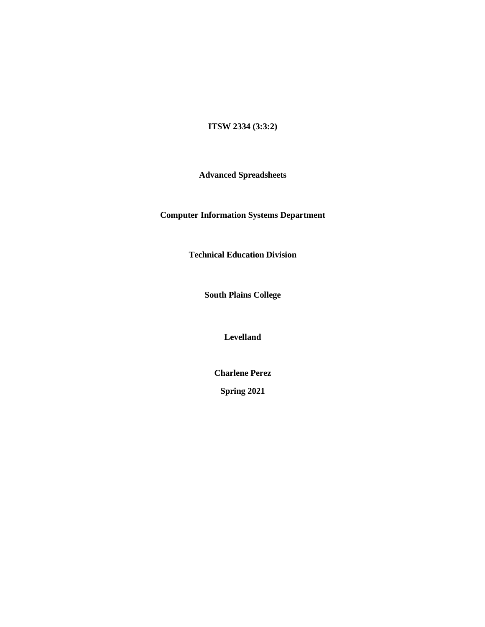# **ITSW 2334 (3:3:2)**

**Advanced Spreadsheets**

**Computer Information Systems Department**

**Technical Education Division**

**South Plains College**

**Levelland**

**Charlene Perez**

**Spring 2021**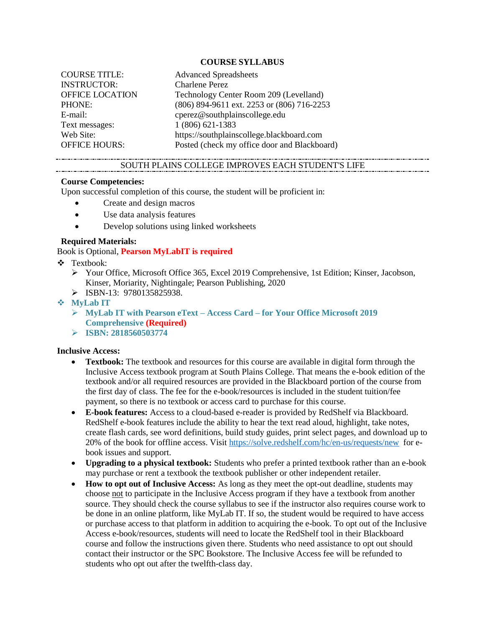### **COURSE SYLLABUS**

| <b>COURSE TITLE:</b>   | <b>Advanced Spreadsheets</b>                 |
|------------------------|----------------------------------------------|
| <b>INSTRUCTOR:</b>     | <b>Charlene Perez</b>                        |
| <b>OFFICE LOCATION</b> | Technology Center Room 209 (Levelland)       |
| PHONE:                 | (806) 894-9611 ext. 2253 or (806) 716-2253   |
| E-mail:                | cperez@southplainscollege.edu                |
| Text messages:         | 1 (806) 621-1383                             |
| Web Site:              | https://southplainscollege.blackboard.com    |
| <b>OFFICE HOURS:</b>   | Posted (check my office door and Blackboard) |

## SOUTH PLAINS COLLEGE IMPROVES EACH STUDENT'S LIFE

#### **Course Competencies:**

Upon successful completion of this course, the student will be proficient in:

- Create and design macros
- Use data analysis features
- Develop solutions using linked worksheets

#### **Required Materials:**

Book is Optional, **Pearson MyLabIT is required**

- ❖ Textbook:
	- ➢ Your Office, Microsoft Office 365, Excel 2019 Comprehensive, 1st Edition; Kinser, Jacobson, Kinser, Moriarity, Nightingale; Pearson Publishing, 2020
	- $\triangleright$  ISBN-13: 9780135825938.

### ❖ **MyLab IT**

- ➢ **MyLab IT with Pearson eText – Access Card – for Your Office Microsoft 2019 Comprehensive (Required)**
- ➢ **ISBN: 2818560503774**

#### **Inclusive Access:**

- **Textbook:** The textbook and resources for this course are available in digital form through the Inclusive Access textbook program at South Plains College. That means the e-book edition of the textbook and/or all required resources are provided in the Blackboard portion of the course from the first day of class. The fee for the e-book/resources is included in the student tuition/fee payment, so there is no textbook or access card to purchase for this course.
- **E-book features:** Access to a cloud-based e-reader is provided by RedShelf via Blackboard. RedShelf e-book features include the ability to hear the text read aloud, highlight, take notes, create flash cards, see word definitions, build study guides, print select pages, and download up to 20% of the book for offline access. Visit<https://solve.redshelf.com/hc/en-us/requests/new>for ebook issues and support.
- **Upgrading to a physical textbook:** Students who prefer a printed textbook rather than an e-book may purchase or rent a textbook the textbook publisher or other independent retailer.
- **How to opt out of Inclusive Access:** As long as they meet the opt-out deadline, students may choose not to participate in the Inclusive Access program if they have a textbook from another source. They should check the course syllabus to see if the instructor also requires course work to be done in an online platform, like MyLab IT. If so, the student would be required to have access or purchase access to that platform in addition to acquiring the e-book. To opt out of the Inclusive Access e-book/resources, students will need to locate the RedShelf tool in their Blackboard course and follow the instructions given there. Students who need assistance to opt out should contact their instructor or the SPC Bookstore. The Inclusive Access fee will be refunded to students who opt out after the twelfth-class day.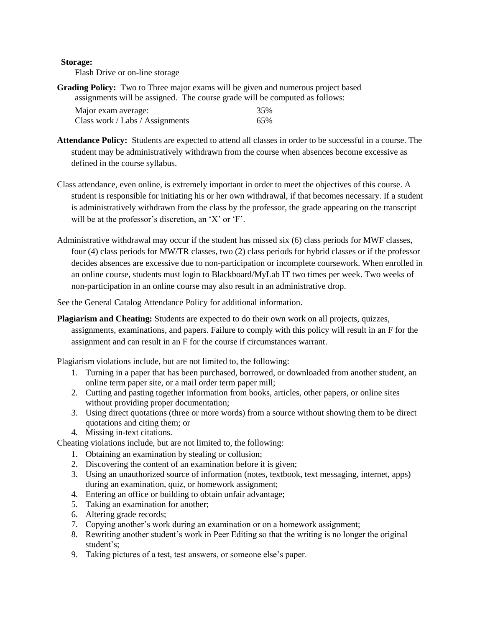## **Storage:**

Flash Drive or on-line storage

**Grading Policy:** Two to Three major exams will be given and numerous project based assignments will be assigned. The course grade will be computed as follows:

| Major exam average:             | 35% |
|---------------------------------|-----|
| Class work / Labs / Assignments | 65% |

- **Attendance Policy:** Students are expected to attend all classes in order to be successful in a course. The student may be administratively withdrawn from the course when absences become excessive as defined in the course syllabus.
- Class attendance, even online, is extremely important in order to meet the objectives of this course. A student is responsible for initiating his or her own withdrawal, if that becomes necessary. If a student is administratively withdrawn from the class by the professor, the grade appearing on the transcript will be at the professor's discretion, an 'X' or 'F'.
- Administrative withdrawal may occur if the student has missed six (6) class periods for MWF classes, four (4) class periods for MW/TR classes, two (2) class periods for hybrid classes or if the professor decides absences are excessive due to non-participation or incomplete coursework. When enrolled in an online course, students must login to Blackboard/MyLab IT two times per week. Two weeks of non-participation in an online course may also result in an administrative drop.

See the General Catalog Attendance Policy for additional information.

**Plagiarism and Cheating:** Students are expected to do their own work on all projects, quizzes, assignments, examinations, and papers. Failure to comply with this policy will result in an F for the assignment and can result in an F for the course if circumstances warrant.

Plagiarism violations include, but are not limited to, the following:

- 1. Turning in a paper that has been purchased, borrowed, or downloaded from another student, an online term paper site, or a mail order term paper mill;
- 2. Cutting and pasting together information from books, articles, other papers, or online sites without providing proper documentation;
- 3. Using direct quotations (three or more words) from a source without showing them to be direct quotations and citing them; or
- 4. Missing in-text citations.

Cheating violations include, but are not limited to, the following:

- 1. Obtaining an examination by stealing or collusion;
- 2. Discovering the content of an examination before it is given;
- 3. Using an unauthorized source of information (notes, textbook, text messaging, internet, apps) during an examination, quiz, or homework assignment;
- 4. Entering an office or building to obtain unfair advantage;
- 5. Taking an examination for another;
- 6. Altering grade records;
- 7. Copying another's work during an examination or on a homework assignment;
- 8. Rewriting another student's work in Peer Editing so that the writing is no longer the original student's;
- 9. Taking pictures of a test, test answers, or someone else's paper.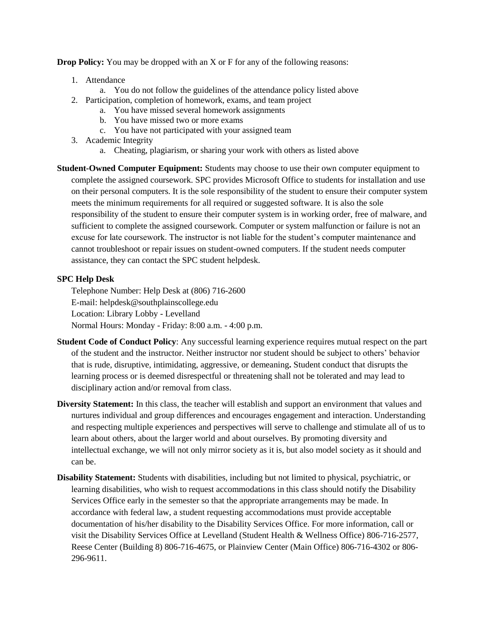**Drop Policy:** You may be dropped with an X or F for any of the following reasons:

- 1. Attendance
	- a. You do not follow the guidelines of the attendance policy listed above
- 2. Participation, completion of homework, exams, and team project
	- a. You have missed several homework assignments
	- b. You have missed two or more exams
	- c. You have not participated with your assigned team
- 3. Academic Integrity
	- a. Cheating, plagiarism, or sharing your work with others as listed above
- **Student-Owned Computer Equipment:** Students may choose to use their own computer equipment to complete the assigned coursework. SPC provides Microsoft Office to students for installation and use on their personal computers. It is the sole responsibility of the student to ensure their computer system meets the minimum requirements for all required or suggested software. It is also the sole responsibility of the student to ensure their computer system is in working order, free of malware, and sufficient to complete the assigned coursework. Computer or system malfunction or failure is not an excuse for late coursework. The instructor is not liable for the student's computer maintenance and cannot troubleshoot or repair issues on student-owned computers. If the student needs computer assistance, they can contact the SPC student helpdesk.

# **SPC Help Desk**

Telephone Number: Help Desk at (806) 716-2600 E-mail[: helpdesk@southplainscollege.edu](mailto:helpdesk@southplainscollege.edu) Location: Library Lobby - Levelland Normal Hours: Monday - Friday: 8:00 a.m. - 4:00 p.m.

- **Student Code of Conduct Policy**: Any successful learning experience requires mutual respect on the part of the student and the instructor. Neither instructor nor student should be subject to others' behavior that is rude, disruptive, intimidating, aggressive, or demeaning**.** Student conduct that disrupts the learning process or is deemed disrespectful or threatening shall not be tolerated and may lead to disciplinary action and/or removal from class.
- **Diversity Statement:** In this class, the teacher will establish and support an environment that values and nurtures individual and group differences and encourages engagement and interaction. Understanding and respecting multiple experiences and perspectives will serve to challenge and stimulate all of us to learn about others, about the larger world and about ourselves. By promoting diversity and intellectual exchange, we will not only mirror society as it is, but also model society as it should and can be.
- **Disability Statement:** Students with disabilities, including but not limited to physical, psychiatric, or learning disabilities, who wish to request accommodations in this class should notify the Disability Services Office early in the semester so that the appropriate arrangements may be made. In accordance with federal law, a student requesting accommodations must provide acceptable documentation of his/her disability to the Disability Services Office. For more information, call or visit the Disability Services Office at Levelland (Student Health & Wellness Office) 806-716-2577, Reese Center (Building 8) 806-716-4675, or Plainview Center (Main Office) 806-716-4302 or 806- 296-9611.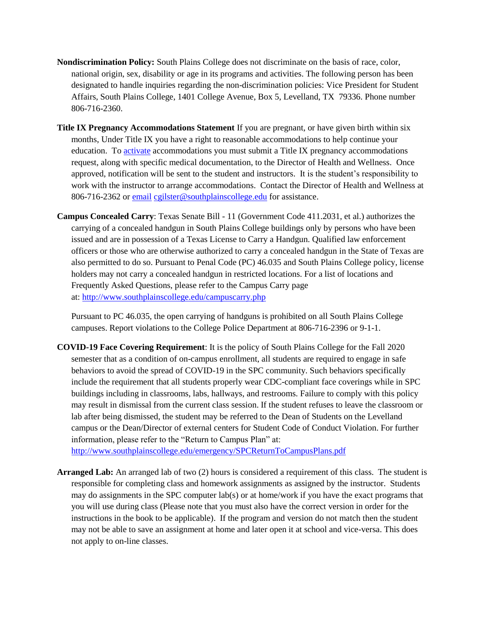- **Nondiscrimination Policy:** South Plains College does not discriminate on the basis of race, color, national origin, sex, disability or age in its programs and activities. The following person has been designated to handle inquiries regarding the non-discrimination policies: Vice President for Student Affairs, South Plains College, 1401 College Avenue, Box 5, Levelland, TX 79336. Phone number 806-716-2360.
- **Title IX Pregnancy Accommodations Statement** If you are pregnant, or have given birth within six months, Under Title IX you have a right to reasonable accommodations to help continue your education. To [activate](http://www.southplainscollege.edu/employees/manualshandbooks/facultyhandbook/sec4.php) accommodations you must submit a Title IX pregnancy accommodations request, along with specific medical documentation, to the Director of Health and Wellness. Once approved, notification will be sent to the student and instructors. It is the student's responsibility to work with the instructor to arrange accommodations. Contact the Director of Health and Wellness at 806-716-2362 or [email](http://www.southplainscollege.edu/employees/manualshandbooks/facultyhandbook/sec4.php) [cgilster@southplainscollege.edu](mailto:cgilster@southplainscollege.edu) for assistance.
- **Campus Concealed Carry**: Texas Senate Bill 11 (Government Code 411.2031, et al.) authorizes the carrying of a concealed handgun in South Plains College buildings only by persons who have been issued and are in possession of a Texas License to Carry a Handgun. Qualified law enforcement officers or those who are otherwise authorized to carry a concealed handgun in the State of Texas are also permitted to do so. Pursuant to Penal Code (PC) 46.035 and South Plains College policy, license holders may not carry a concealed handgun in restricted locations. For a list of locations and Frequently Asked Questions, please refer to the Campus Carry page at: <http://www.southplainscollege.edu/campuscarry.php>

Pursuant to PC 46.035, the open carrying of handguns is prohibited on all South Plains College campuses. Report violations to the College Police Department at 806-716-2396 or 9-1-1.

**COVID-19 Face Covering Requirement**: It is the policy of South Plains College for the Fall 2020 semester that as a condition of on-campus enrollment, all students are required to engage in safe behaviors to avoid the spread of COVID-19 in the SPC community. Such behaviors specifically include the requirement that all students properly wear CDC-compliant face coverings while in SPC buildings including in classrooms, labs, hallways, and restrooms. Failure to comply with this policy may result in dismissal from the current class session. If the student refuses to leave the classroom or lab after being dismissed, the student may be referred to the Dean of Students on the Levelland campus or the Dean/Director of external centers for Student Code of Conduct Violation. For further information, please refer to the "Return to Campus Plan" at: <http://www.southplainscollege.edu/emergency/SPCReturnToCampusPlans.pdf>

**Arranged Lab:** An arranged lab of two (2) hours is considered a requirement of this class. The student is responsible for completing class and homework assignments as assigned by the instructor. Students may do assignments in the SPC computer lab(s) or at home/work if you have the exact programs that you will use during class (Please note that you must also have the correct version in order for the instructions in the book to be applicable). If the program and version do not match then the student

not apply to on-line classes.

may not be able to save an assignment at home and later open it at school and vice-versa. This does